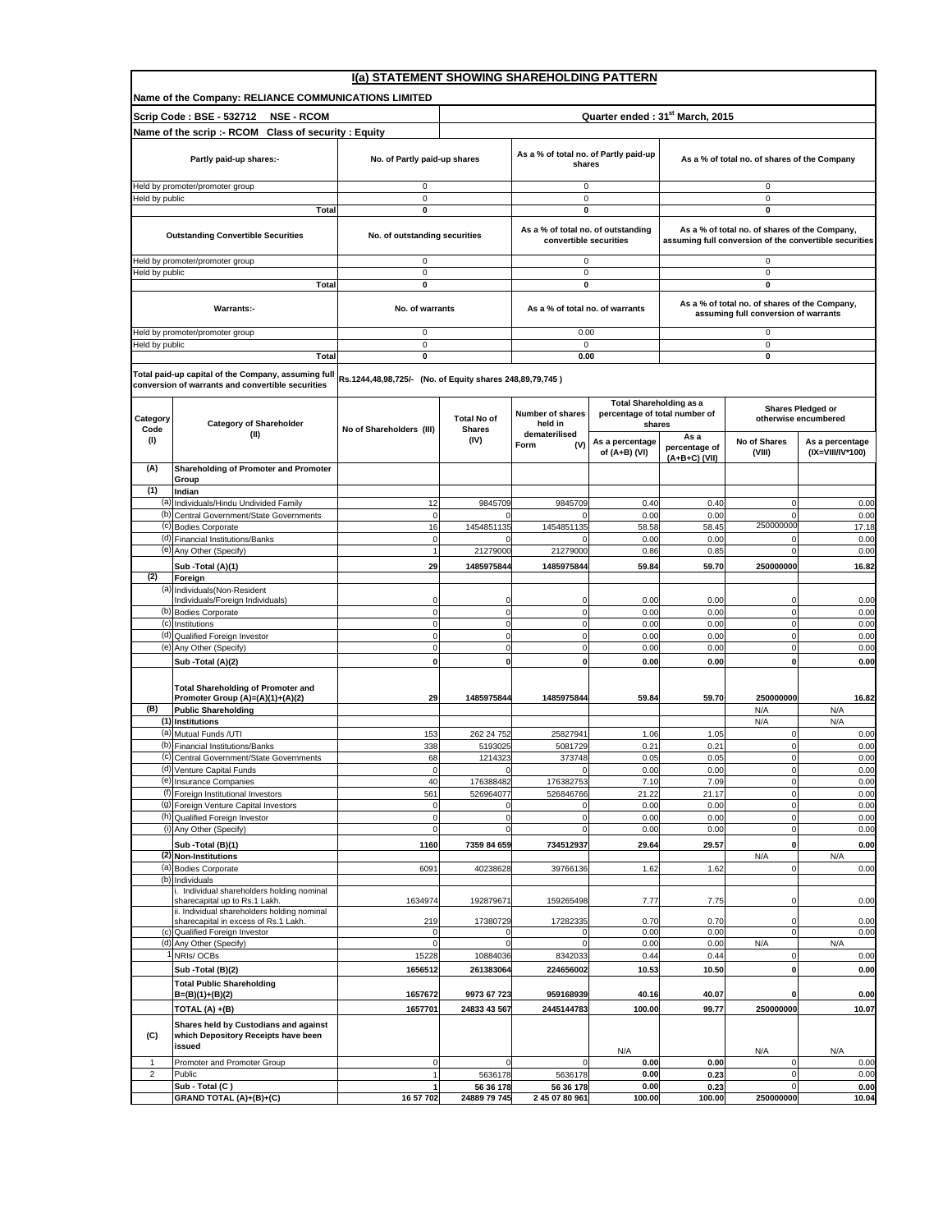|                         |                                                                                                                            | I(a) STATEMENT SHOWING SHAREHOLDING PATTERN              |                                     |                                                              |                                                                           |                                              |                                                                                       |                                                        |  |
|-------------------------|----------------------------------------------------------------------------------------------------------------------------|----------------------------------------------------------|-------------------------------------|--------------------------------------------------------------|---------------------------------------------------------------------------|----------------------------------------------|---------------------------------------------------------------------------------------|--------------------------------------------------------|--|
|                         | Name of the Company: RELIANCE COMMUNICATIONS LIMITED                                                                       |                                                          |                                     |                                                              |                                                                           |                                              |                                                                                       |                                                        |  |
|                         | Scrip Code: BSE - 532712<br><b>NSE - RCOM</b>                                                                              |                                                          |                                     |                                                              | Quarter ended: 31 <sup>st</sup> March, 2015                               |                                              |                                                                                       |                                                        |  |
|                         | Name of the scrip :- RCOM Class of security : Equity                                                                       |                                                          |                                     |                                                              |                                                                           |                                              |                                                                                       |                                                        |  |
|                         | Partly paid-up shares:-                                                                                                    | No. of Partly paid-up shares                             |                                     | As a % of total no. of Partly paid-up<br>shares              |                                                                           | As a % of total no. of shares of the Company |                                                                                       |                                                        |  |
|                         | Held by promoter/promoter group                                                                                            | 0                                                        |                                     | 0                                                            |                                                                           |                                              | 0                                                                                     |                                                        |  |
| Held by public          |                                                                                                                            | $\pmb{0}$                                                |                                     | 0                                                            |                                                                           |                                              | $\mathbf 0$                                                                           |                                                        |  |
|                         | Total                                                                                                                      | 0                                                        |                                     | 0                                                            |                                                                           |                                              | 0                                                                                     |                                                        |  |
|                         | <b>Outstanding Convertible Securities</b>                                                                                  | No. of outstanding securities                            |                                     | As a % of total no. of outstanding<br>convertible securities |                                                                           |                                              | As a % of total no. of shares of the Company,                                         | assuming full conversion of the convertible securities |  |
| Held by public          | Held by promoter/promoter group                                                                                            | 0<br>$\pmb{0}$                                           |                                     | 0<br>$\mathbf 0$                                             |                                                                           |                                              | 0<br>0                                                                                |                                                        |  |
|                         | Total                                                                                                                      | 0                                                        |                                     | 0                                                            |                                                                           |                                              | 0                                                                                     |                                                        |  |
|                         | Warrants:                                                                                                                  | No. of warrants                                          |                                     | As a % of total no. of warrants                              |                                                                           |                                              | As a % of total no. of shares of the Company,<br>assuming full conversion of warrants |                                                        |  |
|                         | Held by promoter/promoter group                                                                                            | 0                                                        |                                     | 0.00                                                         |                                                                           |                                              | $\mathsf 0$                                                                           |                                                        |  |
| Held by public          |                                                                                                                            | $\pmb{0}$                                                |                                     | $\mathbf 0$                                                  |                                                                           |                                              | $\mathsf 0$                                                                           |                                                        |  |
|                         | Total                                                                                                                      | 0                                                        |                                     | 0.00                                                         |                                                                           |                                              | 0                                                                                     |                                                        |  |
|                         | Total paid-up capital of the Company, assuming ful<br>conversion of warrants and convertible securities                    | Rs.1244,48,98,725/- (No. of Equity shares 248,89,79,745) |                                     |                                                              |                                                                           |                                              |                                                                                       |                                                        |  |
| Category<br>Code        | <b>Category of Shareholder</b>                                                                                             | No of Shareholders (III)                                 | <b>Total No of</b><br><b>Shares</b> | Number of shares<br>held in                                  | <b>Total Shareholding as a</b><br>percentage of total number of<br>shares |                                              | <b>Shares Pledged or</b><br>otherwise encumbered                                      |                                                        |  |
| (1)                     | (II)                                                                                                                       |                                                          | (IV)                                | dematerilised<br>Form<br>(V)                                 | As a percentage<br>of (A+B) (VI)                                          | As a<br>percentage of<br>$(A+B+C)$ (VII)     | No of Shares<br>(VIII)                                                                | As a percentage<br>(IX=VIII/IV*100)                    |  |
| (A)                     | Shareholding of Promoter and Promoter                                                                                      |                                                          |                                     |                                                              |                                                                           |                                              |                                                                                       |                                                        |  |
| (1)                     | Group<br>Indian                                                                                                            |                                                          |                                     |                                                              |                                                                           |                                              |                                                                                       |                                                        |  |
|                         | (a) Individuals/Hindu Undivided Family                                                                                     | 12                                                       | 9845709                             | 9845709                                                      | 0.40                                                                      | 0.40                                         | $\mathbf 0$                                                                           | 0.00                                                   |  |
|                         | (b) Central Government/State Governments                                                                                   | $\mathbf 0$                                              |                                     | $\Omega$                                                     | 0.00                                                                      | 0.00                                         | $\Omega$                                                                              | 0.00                                                   |  |
|                         | (c) Bodies Corporate<br>(d) Financial Institutions/Banks                                                                   | 16<br>$\mathbf 0$                                        | 1454851135<br>0                     | 1454851135<br>$\Omega$                                       | 58.58<br>0.00                                                             | 58.45<br>0.00                                | 250000000<br>$\Omega$                                                                 | 17.18<br>0.00                                          |  |
|                         | (e) Any Other (Specify)                                                                                                    | $\overline{1}$                                           | 21279000                            | 21279000                                                     | 0.86                                                                      | 0.85                                         | $\overline{0}$                                                                        | 0.00                                                   |  |
|                         | Sub - Total (A)(1)                                                                                                         | 29                                                       | 1485975844                          | 1485975844                                                   | 59.84                                                                     | 59.70                                        | 250000000                                                                             | 16.82                                                  |  |
| (2)                     | Foreign                                                                                                                    |                                                          |                                     |                                                              |                                                                           |                                              |                                                                                       |                                                        |  |
|                         | (a) Individuals (Non-Resident<br>Individuals/Foreign Individuals)                                                          | $\Omega$                                                 | 0                                   | $\Omega$                                                     |                                                                           |                                              | $\Omega$                                                                              |                                                        |  |
|                         | (b) Bodies Corporate                                                                                                       | 0                                                        | o                                   | $\mathbf 0$                                                  | 0.00<br>0.00                                                              | 0.00<br>0.00                                 | $\Omega$                                                                              | 0.00<br>0.00                                           |  |
|                         | (c) Institutions                                                                                                           | $\mathbf 0$                                              | $\mathbf{0}$                        | $\mathbf 0$                                                  | 0.00                                                                      | 0.00                                         | $\overline{0}$                                                                        | 0.00                                                   |  |
|                         | (d) Qualified Foreign Investor                                                                                             | $\mathbf 0$                                              | $\mathbf 0$                         | $\mathbf 0$                                                  | 0.00                                                                      | 0.00                                         | $\overline{0}$                                                                        | 0.00                                                   |  |
|                         | (e) Any Other (Specify)<br>Sub - Total (A)(2)                                                                              | $\mathbf 0$<br>0                                         | $\mathbf 0$<br>$\mathbf{0}$         | $\mathbf 0$<br>$\mathbf 0$                                   | 0.00<br>0.00                                                              | 0.00<br>0.00                                 | $\overline{0}$<br>0                                                                   | 0.00<br>0.00                                           |  |
|                         |                                                                                                                            |                                                          |                                     |                                                              |                                                                           |                                              |                                                                                       |                                                        |  |
|                         | <b>Total Shareholding of Promoter and</b>                                                                                  |                                                          |                                     |                                                              |                                                                           |                                              |                                                                                       |                                                        |  |
| (B)                     | Promoter Group (A)=(A)(1)+(A)(2)<br><b>Public Shareholding</b>                                                             | 29                                                       | 1485975844                          | 1485975844                                                   | 59.84                                                                     | 59.70                                        | 250000000                                                                             | 16.82                                                  |  |
|                         | (1) Institutions                                                                                                           |                                                          |                                     |                                                              |                                                                           |                                              | N/A<br>N/A                                                                            | N/A<br>N/A                                             |  |
|                         | (a) Mutual Funds /UTI                                                                                                      | 153                                                      | 262 24 752                          | 25827941                                                     | 1.06                                                                      | 1.05                                         | $\Omega$                                                                              | 0.00                                                   |  |
|                         | (b) Financial Institutions/Banks                                                                                           | 338                                                      | 5193025                             | 5081729                                                      | 0.21                                                                      | 0.21                                         | $\mathbf 0$                                                                           | 0.00                                                   |  |
|                         | (c) Central Government/State Governments                                                                                   | 68<br>$\mathbf 0$                                        | 1214323<br>$\mathbf 0$              | 373748<br>$\mathbf 0$                                        | 0.05                                                                      | 0.05                                         | $\mathbf 0$                                                                           | 0.00                                                   |  |
|                         | (d) Venture Capital Funds<br>(e) Insurance Companies                                                                       | 40                                                       | 176388482                           | 176382753                                                    | 0.00<br>7.10                                                              | 0.00<br>7.09                                 | $\pmb{0}$<br>$\mathbf 0$                                                              | 0.00<br>0.00                                           |  |
|                         | (f) Foreign Institutional Investors                                                                                        | 561                                                      | 526964077                           | 526846766                                                    | 21.22                                                                     | 21.17                                        | $\mathbf 0$                                                                           | 0.00                                                   |  |
|                         | (g) Foreign Venture Capital Investors                                                                                      | 0                                                        | $\Omega$                            |                                                              | 0.00                                                                      | 0.00                                         | 0                                                                                     | 0.00                                                   |  |
|                         | (h) Qualified Foreign Investor                                                                                             | $\overline{0}$                                           | o<br>$\mathbf{0}$                   | $\mathbf 0$                                                  | 0.00                                                                      | 0.00                                         | $\Omega$                                                                              | 0.00                                                   |  |
|                         | (i) Any Other (Specify)                                                                                                    | $\mathbf 0$                                              |                                     | $\mathbf 0$                                                  | 0.00                                                                      | 0.00                                         | $\overline{0}$                                                                        | 0.00                                                   |  |
|                         | Sub - Total (B)(1)<br>(2) Non-Institutions                                                                                 | 1160                                                     | 7359 84 659                         | 734512937                                                    | 29.64                                                                     | 29.57                                        | 0<br>N/A                                                                              | 0.00<br>N/A                                            |  |
|                         | (a) Bodies Corporate                                                                                                       | 6091                                                     | 40238628                            | 39766136                                                     | 1.62                                                                      | 1.62                                         | $\overline{0}$                                                                        | 0.00                                                   |  |
|                         | (b) Individuals                                                                                                            |                                                          |                                     |                                                              |                                                                           |                                              |                                                                                       |                                                        |  |
|                         | i. Individual shareholders holding nominal<br>sharecapital up to Rs.1 Lakh.<br>ii. Individual shareholders holding nominal | 1634974                                                  | 192879671                           | 159265498                                                    | 7.77                                                                      | 7.75                                         | C                                                                                     | 0.00                                                   |  |
|                         | sharecapital in excess of Rs.1 Lakh.                                                                                       | 219                                                      | 17380729                            | 17282335                                                     | 0.70                                                                      | 0.70                                         | $\Omega$                                                                              | 0.00                                                   |  |
|                         | (c) Qualified Foreign Investor<br>(d) Any Other (Specify)                                                                  | 0<br>$\Omega$                                            | $\Omega$                            | $\Omega$                                                     | 0.00<br>0.00                                                              | 0.00<br>0.00                                 | $\mathbf 0$<br>N/A                                                                    | 0.00<br>N/A                                            |  |
|                         | NRIs/OCBs                                                                                                                  | 15228                                                    | 10884036                            | 8342033                                                      | 0.44                                                                      | 0.44                                         | $^{\circ}$                                                                            | 0.00                                                   |  |
|                         | Sub - Total (B)(2)                                                                                                         | 1656512                                                  | 261383064                           | 224656002                                                    | 10.53                                                                     | 10.50                                        | $\mathbf 0$                                                                           | 0.00                                                   |  |
|                         | <b>Total Public Shareholding</b><br>$B=(B)(1)+(B)(2)$                                                                      | 1657672                                                  | 9973 67 723                         | 959168939                                                    | 40.16                                                                     | 40.07                                        | 0                                                                                     | 0.00                                                   |  |
|                         | TOTAL (A) +(B)                                                                                                             | 1657701                                                  | 24833 43 567                        | 2445144783                                                   | 100.00                                                                    | 99.77                                        | 250000000                                                                             | 10.07                                                  |  |
| (C)                     | Shares held by Custodians and against<br>which Depository Receipts have been<br>issued                                     |                                                          |                                     |                                                              |                                                                           |                                              |                                                                                       |                                                        |  |
| 1                       | Promoter and Promoter Group                                                                                                | 0                                                        | $\mathbf 0$                         | 0                                                            | N/A<br>0.00                                                               | 0.00                                         | N/A<br>0                                                                              | N/A<br>0.00                                            |  |
| $\overline{\mathbf{c}}$ | Public                                                                                                                     | 1                                                        | 5636178                             | 5636178                                                      | 0.00                                                                      | 0.23                                         | 0                                                                                     | 0.00                                                   |  |
|                         | Sub - Total (C)                                                                                                            | 1                                                        | 56 36 178                           | 56 36 178                                                    | 0.00                                                                      | 0.23                                         | $\epsilon$                                                                            | 0.00                                                   |  |
|                         | GRAND TOTAL (A)+(B)+(C)                                                                                                    | 16 57 702                                                | 24889 79 745                        | 2 45 07 80 961                                               | 100.00                                                                    | 100.00                                       | 250000000                                                                             | 10.04                                                  |  |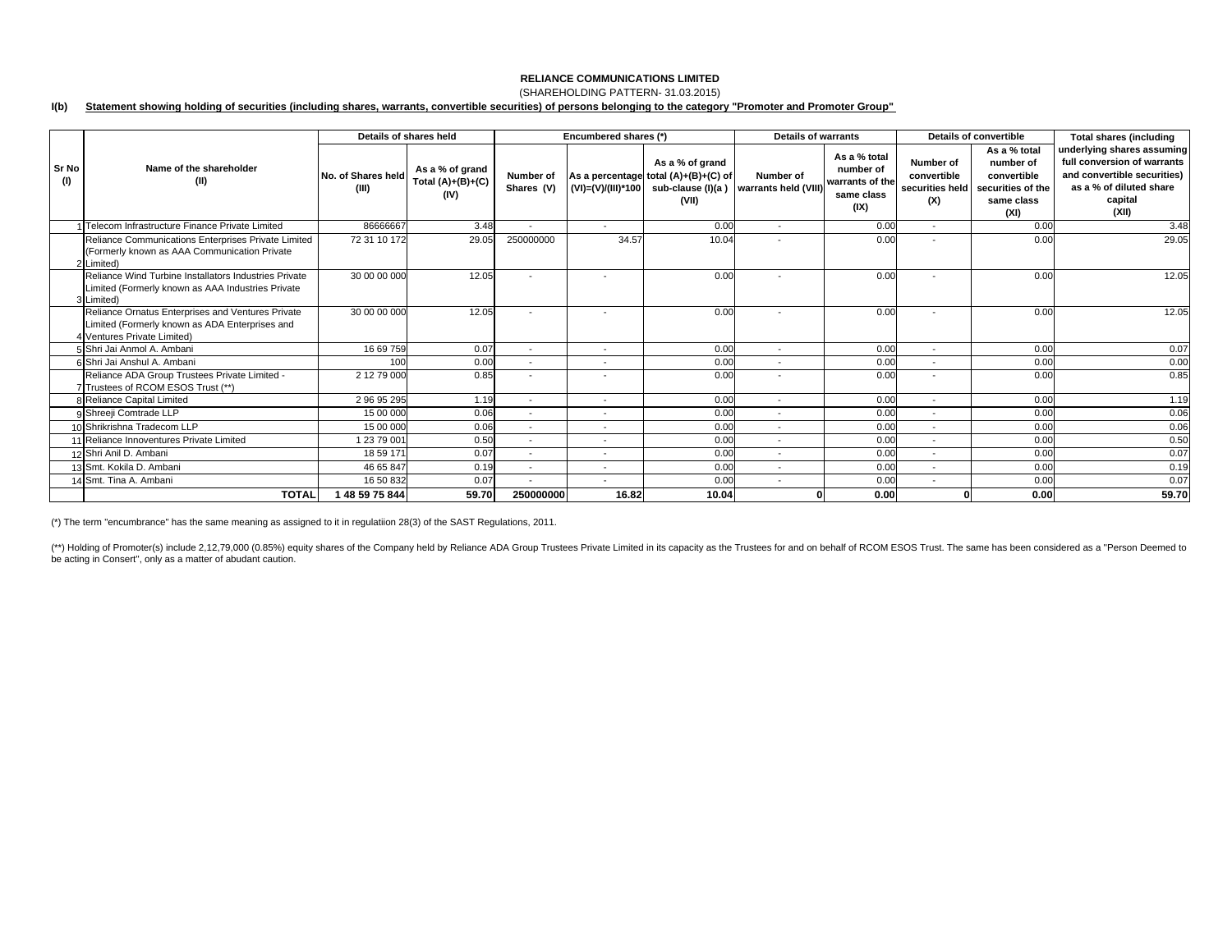## **RELIANCE COMMUNICATIONS LIMITED**(SHAREHOLDING PATTERN- 31.03.2015)

### **I(b) Statement showing holding of securities (including shares, warrants, convertible securities) of persons belonging to the category "Promoter and Promoter Group"**

|                     |                                                                                                                                    | Details of shares held      |                                                | Encumbered shares (*)    |                          |                                                                                                               | Details of warrants               |                                                                    | Details of convertible                             |                                                                                     | <b>Total shares (including</b>                                                                                                          |
|---------------------|------------------------------------------------------------------------------------------------------------------------------------|-----------------------------|------------------------------------------------|--------------------------|--------------------------|---------------------------------------------------------------------------------------------------------------|-----------------------------------|--------------------------------------------------------------------|----------------------------------------------------|-------------------------------------------------------------------------------------|-----------------------------------------------------------------------------------------------------------------------------------------|
| <b>Sr No</b><br>(1) | Name of the shareholder<br>(II)                                                                                                    | No. of Shares held<br>(III) | As a % of grand<br>Total $(A)+(B)+(C)$<br>(IV) | Number of<br>Shares (V)  |                          | As a % of grand<br>As a percentage total (A)+(B)+(C) of<br>$(VI) = (V)/(III)^*100$ sub-clause (I)(a)<br>(VII) | Number of<br>warrants held (VIII) | As a % total<br>number of<br>warrants of the<br>same class<br>(IX) | Number of<br>convertible<br>securities held<br>(X) | As a % total<br>number of<br>convertible<br>securities of the<br>same class<br>(XI) | underlying shares assuming<br>full conversion of warrants<br>and convertible securities)<br>as a % of diluted share<br>capital<br>(XII) |
|                     | 1 Telecom Infrastructure Finance Private Limited                                                                                   | 86666667                    | 3.48                                           |                          | $\overline{\phantom{a}}$ | 0.00                                                                                                          | $\overline{\phantom{a}}$          | 0.00                                                               | $\sim$                                             | 0.00                                                                                | 3.48                                                                                                                                    |
|                     | Reliance Communications Enterprises Private Limited<br>(Formerly known as AAA Communication Private<br>2 Limited)                  | 72 31 10 172                | 29.05                                          | 250000000                | 34.57                    | 10.04                                                                                                         | $\overline{\phantom{a}}$          | 0.00                                                               |                                                    | 0.00                                                                                | 29.05                                                                                                                                   |
|                     | Reliance Wind Turbine Installators Industries Private<br>Limited (Formerly known as AAA Industries Private<br>3 Limited)           | 30 00 00 000                | 12.05                                          | $\overline{\phantom{a}}$ | $\overline{\phantom{a}}$ | 0.00                                                                                                          | $\overline{\phantom{a}}$          | 0.00                                                               |                                                    | 0.00                                                                                | 12.05                                                                                                                                   |
|                     | Reliance Ornatus Enterprises and Ventures Private<br>Limited (Formerly known as ADA Enterprises and<br>4 Ventures Private Limited) | 30 00 00 000                | 12.05                                          |                          | $\overline{\phantom{a}}$ | 0.00                                                                                                          | $\overline{\phantom{a}}$          | 0.00                                                               |                                                    | 0.00                                                                                | 12.05                                                                                                                                   |
|                     | 5 Shri Jai Anmol A. Ambani                                                                                                         | 16 69 759                   | 0.07                                           | $\overline{\phantom{a}}$ | $\overline{\phantom{a}}$ | 0.00                                                                                                          | $\overline{\phantom{a}}$          | 0.00                                                               | $\overline{\phantom{a}}$                           | 0.00                                                                                | 0.07                                                                                                                                    |
|                     | 6 Shri Jai Anshul A. Ambani                                                                                                        | 100                         | 0.00                                           | $\overline{\phantom{a}}$ |                          | 0.00                                                                                                          |                                   | 0.00                                                               |                                                    | 0.00                                                                                | 0.00                                                                                                                                    |
|                     | Reliance ADA Group Trustees Private Limited -<br>7 Trustees of RCOM ESOS Trust (**)                                                | 2 12 79 000                 | 0.85                                           | $\overline{\phantom{a}}$ | $\overline{\phantom{a}}$ | 0.00                                                                                                          | $\overline{\phantom{a}}$          | 0.00                                                               |                                                    | 0.00                                                                                | 0.85                                                                                                                                    |
|                     | 8 Reliance Capital Limited                                                                                                         | 29695295                    | 1.19                                           | $\overline{\phantom{a}}$ | $\overline{\phantom{a}}$ | 0.00                                                                                                          | $\overline{\phantom{a}}$          | 0.00                                                               | $\sim$                                             | 0.00                                                                                | 1.19                                                                                                                                    |
|                     | 9 Shreeji Comtrade LLP                                                                                                             | 15 00 000                   | 0.06                                           | $\overline{\phantom{a}}$ | $\overline{\phantom{0}}$ | 0.00                                                                                                          | $\overline{\phantom{a}}$          | 0.00                                                               | $\overline{\phantom{a}}$                           | 0.00                                                                                | 0.06                                                                                                                                    |
|                     | 10 Shrikrishna Tradecom LLP                                                                                                        | 15 00 000                   | 0.06                                           | $\overline{\phantom{a}}$ | $\overline{\phantom{a}}$ | 0.00                                                                                                          | $\overline{\phantom{a}}$          | 0.00                                                               |                                                    | 0.00                                                                                | 0.06                                                                                                                                    |
|                     | 11 Reliance Innoventures Private Limited                                                                                           | 12379001                    | 0.50                                           | $\overline{\phantom{a}}$ | $\overline{\phantom{a}}$ | 0.00                                                                                                          | $\overline{\phantom{a}}$          | 0.00                                                               | $\overline{a}$                                     | 0.00                                                                                | 0.50                                                                                                                                    |
|                     | 12 Shri Anil D. Ambani                                                                                                             | 18 59 171                   | 0.07                                           | $\overline{\phantom{a}}$ |                          | 0.00                                                                                                          | $\overline{\phantom{a}}$          | 0.00                                                               |                                                    | 0.00                                                                                | 0.07                                                                                                                                    |
|                     | 13 Smt. Kokila D. Ambani                                                                                                           | 46 65 847                   | 0.19                                           | $\overline{\phantom{a}}$ |                          | 0.00                                                                                                          |                                   | 0.00                                                               |                                                    | 0.00                                                                                | 0.19                                                                                                                                    |
|                     | 14 Smt. Tina A. Ambani                                                                                                             | 16 50 832                   | 0.07                                           | $\overline{\phantom{a}}$ | $\overline{\phantom{a}}$ | 0.00                                                                                                          | $\overline{\phantom{a}}$          | 0.00                                                               | $\overline{a}$                                     | 0.00                                                                                | 0.07                                                                                                                                    |
|                     | <b>TOTAL</b>                                                                                                                       | 1 48 59 75 844              | 59.70                                          | 250000000                | 16.82                    | 10.04                                                                                                         |                                   | 0.00                                                               |                                                    | 0.00                                                                                | 59.70                                                                                                                                   |

(\*) The term "encumbrance" has the same meaning as assigned to it in regulatiion 28(3) of the SAST Regulations, 2011.

(\*\*) Holding of Promoter(s) include 2,12,79,000 (0.85%) equity shares of the Company held by Reliance ADA Group Trustees Private Limited in its capacity as the Trustees for and on behalf of RCOM ESOS Trust. The same has be be acting in Consert'', only as a matter of abudant caution.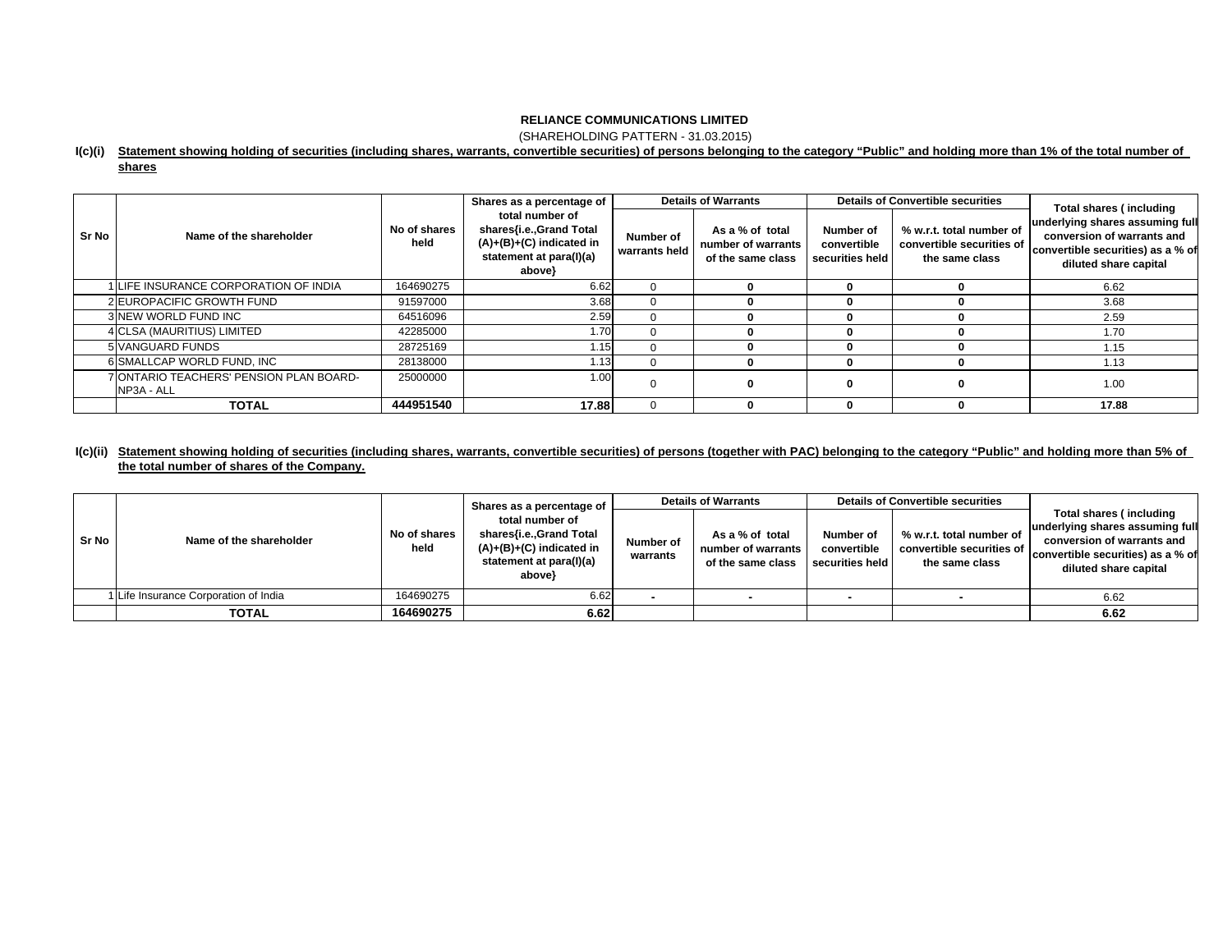(SHAREHOLDING PATTERN - 31.03.2015)

## **I(c)(i) Statement showing holding of securities (including shares, warrants, convertible securities) of persons belonging to the category "Public" and holding more than 1% of the total number of**

**shares**

|       | Name of the shareholder                                | No of shares<br>held | Shares as a percentage of                                                                                     |                            | <b>Details of Warrants</b>                                 |                                             | <b>Details of Convertible securities</b>                                | <b>Total shares (including</b>                                                                                              |  |
|-------|--------------------------------------------------------|----------------------|---------------------------------------------------------------------------------------------------------------|----------------------------|------------------------------------------------------------|---------------------------------------------|-------------------------------------------------------------------------|-----------------------------------------------------------------------------------------------------------------------------|--|
| Sr No |                                                        |                      | total number of<br>shares{i.e.,Grand Total<br>$(A)+(B)+(C)$ indicated in<br>statement at para(I)(a)<br>above} | Number of<br>warrants held | As a % of total<br>number of warrants<br>of the same class | Number of<br>convertible<br>securities held | % w.r.t. total number of<br>convertible securities of<br>the same class | underlying shares assuming full<br>conversion of warrants and<br>convertible securities) as a % of<br>diluted share capital |  |
|       | LIFE INSURANCE CORPORATION OF INDIA                    | 164690275            | 6.62                                                                                                          | $\Omega$                   |                                                            |                                             |                                                                         | 6.62                                                                                                                        |  |
|       | 2 EUROPACIFIC GROWTH FUND                              | 91597000             | 3.68                                                                                                          | $\Omega$                   |                                                            |                                             |                                                                         | 3.68                                                                                                                        |  |
|       | 3 NEW WORLD FUND INC                                   | 64516096             | 2.59                                                                                                          | 0                          |                                                            |                                             |                                                                         | 2.59                                                                                                                        |  |
|       | 4 CLSA (MAURITIUS) LIMITED                             | 42285000             | 1.70 <sub>1</sub>                                                                                             | $\Omega$                   |                                                            |                                             |                                                                         | 1.70                                                                                                                        |  |
|       | 5 VANGUARD FUNDS                                       | 28725169             | 1.15                                                                                                          | $\Omega$                   |                                                            |                                             |                                                                         | 1.15                                                                                                                        |  |
|       | 6 SMALLCAP WORLD FUND, INC                             | 28138000             | 1.13                                                                                                          | $\Omega$                   |                                                            |                                             |                                                                         | 1.13                                                                                                                        |  |
|       | 7 IONTARIO TEACHERS' PENSION PLAN BOARD-<br>NP3A - ALL | 25000000             | 1.00                                                                                                          | $\Omega$                   |                                                            | 0                                           |                                                                         | 1.00                                                                                                                        |  |
|       | <b>TOTAL</b>                                           | 444951540            | 17.88                                                                                                         | $\Omega$                   |                                                            |                                             |                                                                         | 17.88                                                                                                                       |  |

# **I(c)(ii) Statement showing holding of securities (including shares, warrants, convertible securities) of persons (together with PAC) belonging to the category "Public" and holding more than 5% of the total number of shares of the Company.**

| Sr No |                                       | total number of<br>No of shares<br>held<br>above} | Shares as a percentage of                                                        | <b>Details of Warrants</b> |                                                            |                                             | <b>Details of Convertible securities</b>                                |                                                                                                                                                        |  |
|-------|---------------------------------------|---------------------------------------------------|----------------------------------------------------------------------------------|----------------------------|------------------------------------------------------------|---------------------------------------------|-------------------------------------------------------------------------|--------------------------------------------------------------------------------------------------------------------------------------------------------|--|
|       | Name of the shareholder               |                                                   | shares{i.e.,Grand Total<br>$(A)+(B)+(C)$ indicated in<br>statement at para(I)(a) | Number of<br>warrants      | As a % of total<br>number of warrants<br>of the same class | Number of<br>convertible<br>securities held | % w.r.t. total number of<br>convertible securities of<br>the same class | Total shares (including<br>underlying shares assuming full<br>conversion of warrants and<br>convertible securities) as a % of<br>diluted share capital |  |
|       | 1 Life Insurance Corporation of India | 164690275                                         | 6.62                                                                             |                            |                                                            |                                             |                                                                         | 6.62                                                                                                                                                   |  |
|       | <b>TOTAL</b>                          | 164690275                                         | 6.62                                                                             |                            |                                                            |                                             |                                                                         | 6.62                                                                                                                                                   |  |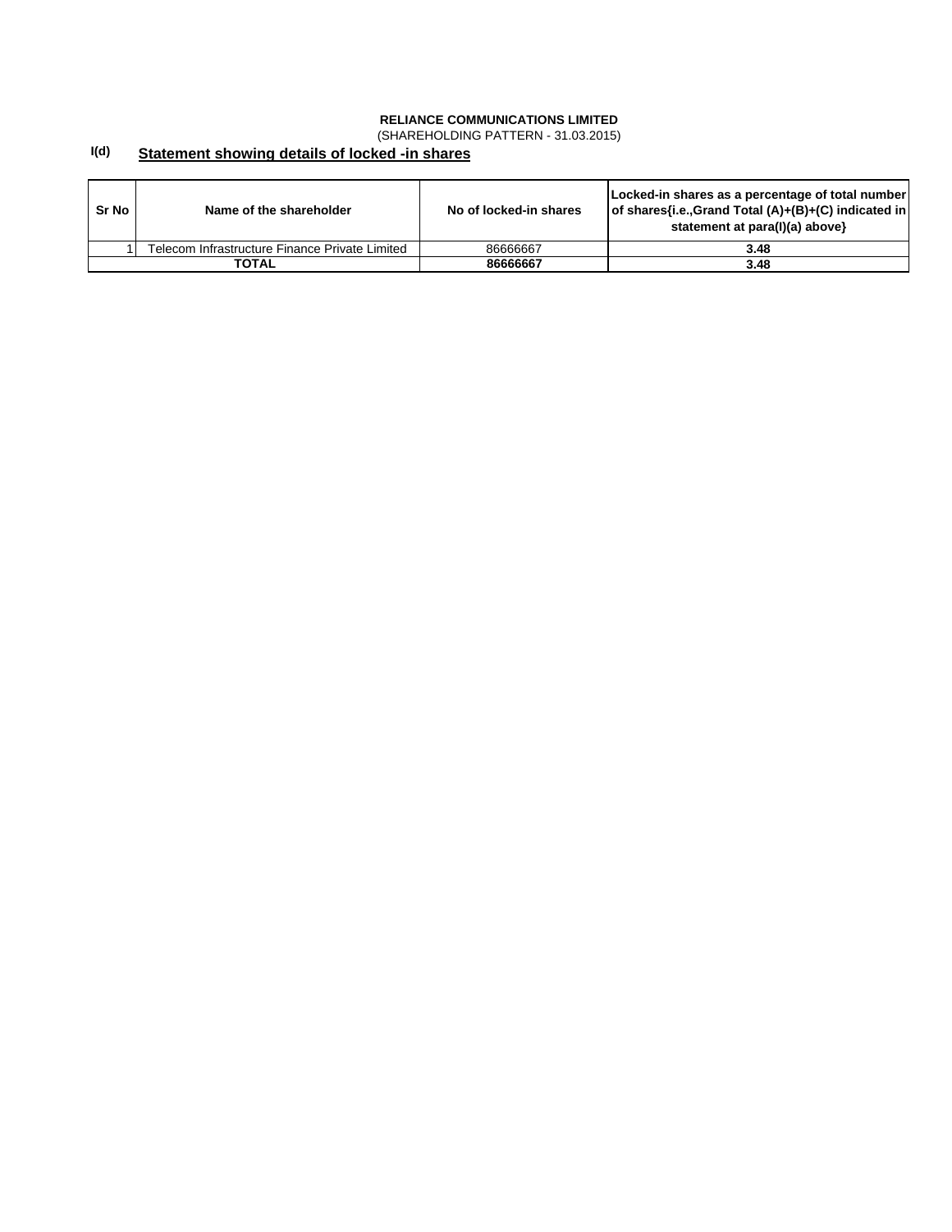(SHAREHOLDING PATTERN - 31.03.2015)

#### **I(d) Statement showing details of locked -in shares**

| Sr No | Name of the shareholder                        | No of locked-in shares | Locked-in shares as a percentage of total number<br>of shares{i.e.,Grand Total (A)+(B)+(C) indicated in<br>statement at para(I)(a) above} |
|-------|------------------------------------------------|------------------------|-------------------------------------------------------------------------------------------------------------------------------------------|
|       | Telecom Infrastructure Finance Private Limited | 86666667               | 3.48                                                                                                                                      |
|       | TOTAL                                          | 86666667               | 3.48                                                                                                                                      |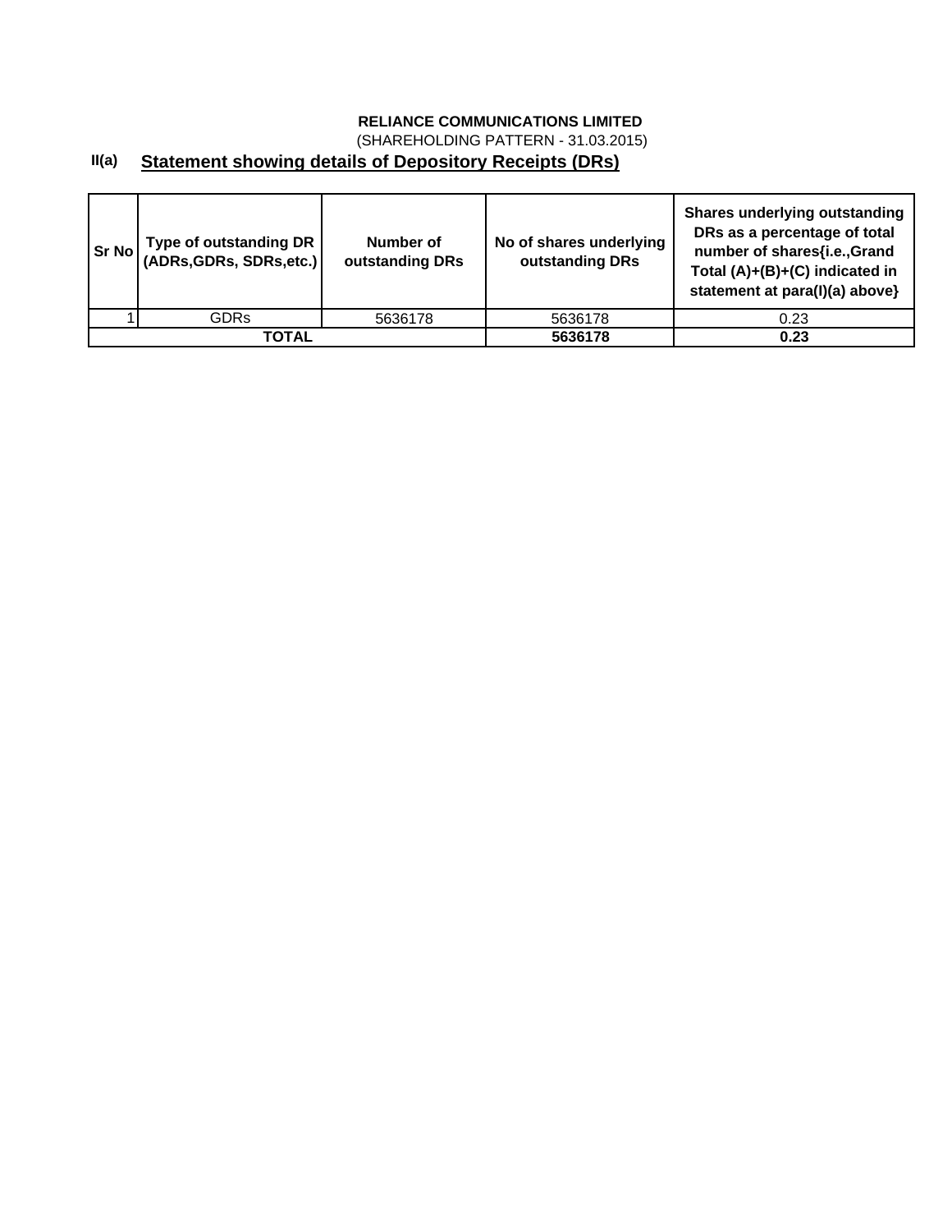(SHAREHOLDING PATTERN - 31.03.2015)

# **II(a) Statement showing details of Depository Receipts (DRs)**

| Sr No | Type of outstanding DR  <br>  (ADRs,GDRs, SDRs,etc.) | Number of<br>outstanding DRs | No of shares underlying<br>outstanding DRs | Shares underlying outstanding<br>DRs as a percentage of total<br>number of shares{i.e.,Grand<br>Total (A)+(B)+(C) indicated in<br>statement at para(I)(a) above} |
|-------|------------------------------------------------------|------------------------------|--------------------------------------------|------------------------------------------------------------------------------------------------------------------------------------------------------------------|
|       | GDRs                                                 | 5636178                      | 5636178                                    | 0.23                                                                                                                                                             |
|       | TOTAL                                                |                              | 5636178                                    | 0.23                                                                                                                                                             |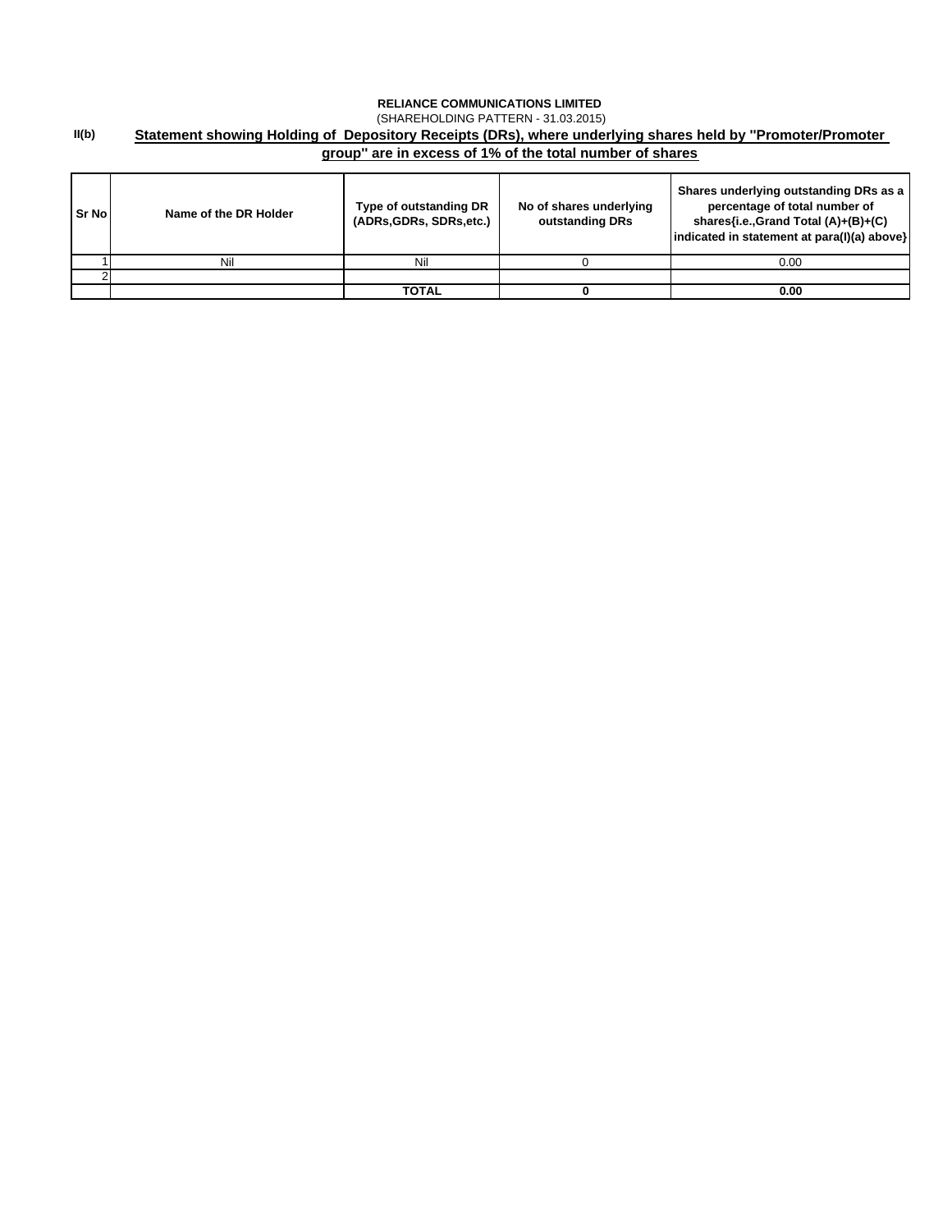## **II(b) RELIANCE COMMUNICATIONS LIMITED**  (SHAREHOLDING PATTERN - 31.03.2015) **Statement showing Holding of Depository Receipts (DRs), where underlying shares held by ''Promoter/Promoter group'' are in excess of 1% of the total number of shares**

| <b>Sr No</b> | Name of the DR Holder | Type of outstanding DR<br>(ADRs.GDRs, SDRs.etc.) | No of shares underlying<br>outstanding DRs | Shares underlying outstanding DRs as a<br>percentage of total number of<br>shares{i.e.,Grand Total (A)+(B)+(C)<br>indicated in statement at para(I)(a) above} |
|--------------|-----------------------|--------------------------------------------------|--------------------------------------------|---------------------------------------------------------------------------------------------------------------------------------------------------------------|
|              | Nil                   | Nil                                              |                                            | 0.00                                                                                                                                                          |
|              |                       |                                                  |                                            |                                                                                                                                                               |
|              |                       | TOTAL                                            |                                            | 0.00                                                                                                                                                          |